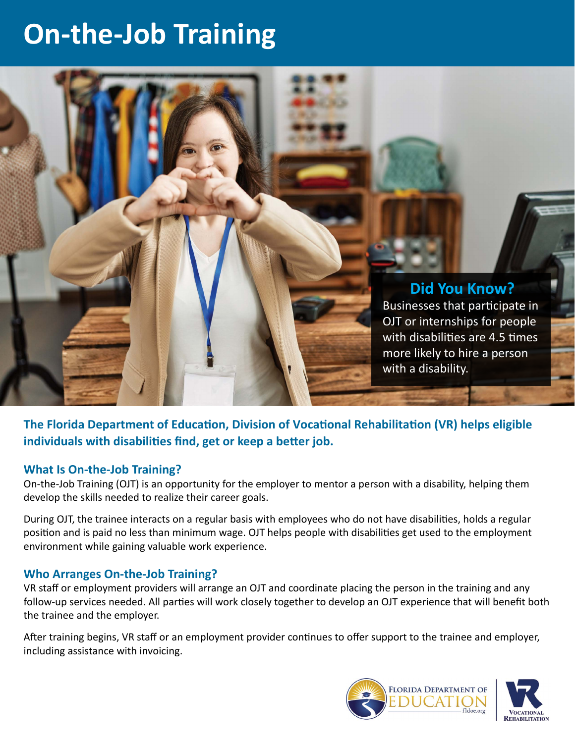# **On-the-Job Training**



**The Florida Department of Education, Division of Vocational Rehabilitation (VR) helps eligible individuals with disabilities find, get or keep a better job.** 

#### **What Is On-the-Job Training?**

On-the-Job Training (OJT) is an opportunity for the employer to mentor a person with a disability, helping them develop the skills needed to realize their career goals.

During OJT, the trainee interacts on a regular basis with employees who do not have disabilities, holds a regular position and is paid no less than minimum wage. OJT helps people with disabilities get used to the employment environment while gaining valuable work experience.

#### **Who Arranges On-the-Job Training?**

VR staff or employment providers will arrange an OJT and coordinate placing the person in the training and any follow-up services needed. All parties will work closely together to develop an OJT experience that will benefit both the trainee and the employer.

After training begins, VR staff or an employment provider continues to offer support to the trainee and employer, including assistance with invoicing.